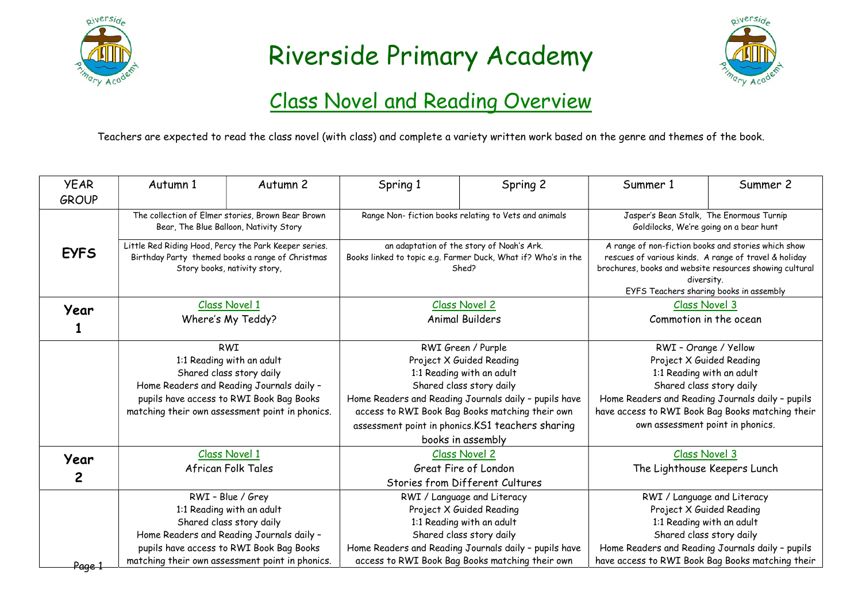



### Class Novel and Reading Overview

Teachers are expected to read the class novel (with class) and complete a variety written work based on the genre and themes of the book.

| <b>YEAR</b>       | Autumn 1                                                                                                                                                                                                        | Autumn 2                                        | Spring 1                                                                                                                                                                                                                                                                | Spring 2                                        | Summer 1                                                                                                                                                                                                                                               | Summer 2 |
|-------------------|-----------------------------------------------------------------------------------------------------------------------------------------------------------------------------------------------------------------|-------------------------------------------------|-------------------------------------------------------------------------------------------------------------------------------------------------------------------------------------------------------------------------------------------------------------------------|-------------------------------------------------|--------------------------------------------------------------------------------------------------------------------------------------------------------------------------------------------------------------------------------------------------------|----------|
| <b>GROUP</b>      |                                                                                                                                                                                                                 |                                                 |                                                                                                                                                                                                                                                                         |                                                 |                                                                                                                                                                                                                                                        |          |
|                   | The collection of Elmer stories, Brown Bear Brown<br>Bear, The Blue Balloon, Nativity Story                                                                                                                     |                                                 | Range Non- fiction books relating to Vets and animals                                                                                                                                                                                                                   |                                                 | Jasper's Bean Stalk, The Enormous Turnip<br>Goldilocks, We're going on a bear hunt                                                                                                                                                                     |          |
| <b>EYFS</b>       | Little Red Riding Hood, Percy the Park Keeper series.<br>Birthday Party themed books a range of Christmas<br>Story books, nativity story,                                                                       |                                                 | an adaptation of the story of Noah's Ark.<br>Books linked to topic e.g. Farmer Duck, What if? Who's in the<br>Shed?                                                                                                                                                     |                                                 | A range of non-fiction books and stories which show<br>rescues of various kinds. A range of travel & holiday<br>brochures, books and website resources showing cultural<br>diversity.<br>EYFS Teachers sharing books in assembly                       |          |
| Year              | <b>Class Novel 1</b>                                                                                                                                                                                            |                                                 | <b>Class Novel 2</b>                                                                                                                                                                                                                                                    |                                                 | Class Novel 3                                                                                                                                                                                                                                          |          |
|                   | Where's My Teddy?                                                                                                                                                                                               |                                                 | <b>Animal Builders</b>                                                                                                                                                                                                                                                  |                                                 | Commotion in the ocean                                                                                                                                                                                                                                 |          |
|                   | <b>RWI</b><br>1:1 Reading with an adult<br>Shared class story daily<br>Home Readers and Reading Journals daily -<br>pupils have access to RWI Book Bag Books<br>matching their own assessment point in phonics. |                                                 | RWI Green / Purple<br>Project X Guided Reading<br>1:1 Reading with an adult<br>Shared class story daily<br>Home Readers and Reading Journals daily - pupils have<br>access to RWI Book Bag Books matching their own<br>assessment point in phonics.KS1 teachers sharing |                                                 | RWI - Orange / Yellow<br>Project X Guided Reading<br>1:1 Reading with an adult<br>Shared class story daily<br>Home Readers and Reading Journals daily - pupils<br>have access to RWI Book Bag Books matching their<br>own assessment point in phonics. |          |
|                   |                                                                                                                                                                                                                 |                                                 |                                                                                                                                                                                                                                                                         |                                                 |                                                                                                                                                                                                                                                        |          |
|                   |                                                                                                                                                                                                                 |                                                 |                                                                                                                                                                                                                                                                         |                                                 |                                                                                                                                                                                                                                                        |          |
|                   |                                                                                                                                                                                                                 |                                                 |                                                                                                                                                                                                                                                                         |                                                 |                                                                                                                                                                                                                                                        |          |
|                   |                                                                                                                                                                                                                 |                                                 |                                                                                                                                                                                                                                                                         |                                                 |                                                                                                                                                                                                                                                        |          |
|                   |                                                                                                                                                                                                                 |                                                 |                                                                                                                                                                                                                                                                         |                                                 |                                                                                                                                                                                                                                                        |          |
|                   |                                                                                                                                                                                                                 |                                                 |                                                                                                                                                                                                                                                                         |                                                 |                                                                                                                                                                                                                                                        |          |
|                   |                                                                                                                                                                                                                 |                                                 |                                                                                                                                                                                                                                                                         | books in assembly                               |                                                                                                                                                                                                                                                        |          |
| Year              |                                                                                                                                                                                                                 | <b>Class Novel 1</b>                            |                                                                                                                                                                                                                                                                         | <b>Class Novel 2</b>                            | Class Novel 3                                                                                                                                                                                                                                          |          |
|                   | African Folk Tales                                                                                                                                                                                              |                                                 | Great Fire of London                                                                                                                                                                                                                                                    |                                                 | The Lighthouse Keepers Lunch                                                                                                                                                                                                                           |          |
| 2                 |                                                                                                                                                                                                                 |                                                 | Stories from Different Cultures                                                                                                                                                                                                                                         |                                                 |                                                                                                                                                                                                                                                        |          |
|                   |                                                                                                                                                                                                                 | RWI - Blue / Grey                               |                                                                                                                                                                                                                                                                         | RWI / Language and Literacy                     | RWI / Language and Literacy                                                                                                                                                                                                                            |          |
|                   | 1:1 Reading with an adult<br>Shared class story daily                                                                                                                                                           |                                                 | Project X Guided Reading<br>1:1 Reading with an adult                                                                                                                                                                                                                   |                                                 | Project X Guided Reading<br>1:1 Reading with an adult                                                                                                                                                                                                  |          |
|                   |                                                                                                                                                                                                                 |                                                 |                                                                                                                                                                                                                                                                         |                                                 |                                                                                                                                                                                                                                                        |          |
|                   | Home Readers and Reading Journals daily -                                                                                                                                                                       |                                                 | Shared class story daily                                                                                                                                                                                                                                                |                                                 | Shared class story daily                                                                                                                                                                                                                               |          |
|                   | pupils have access to RWI Book Bag Books                                                                                                                                                                        |                                                 | Home Readers and Reading Journals daily - pupils have                                                                                                                                                                                                                   |                                                 | Home Readers and Reading Journals daily - pupils                                                                                                                                                                                                       |          |
| <del>Page 1</del> |                                                                                                                                                                                                                 | matching their own assessment point in phonics. |                                                                                                                                                                                                                                                                         | access to RWI Book Bag Books matching their own | have access to RWI Book Bag Books matching their                                                                                                                                                                                                       |          |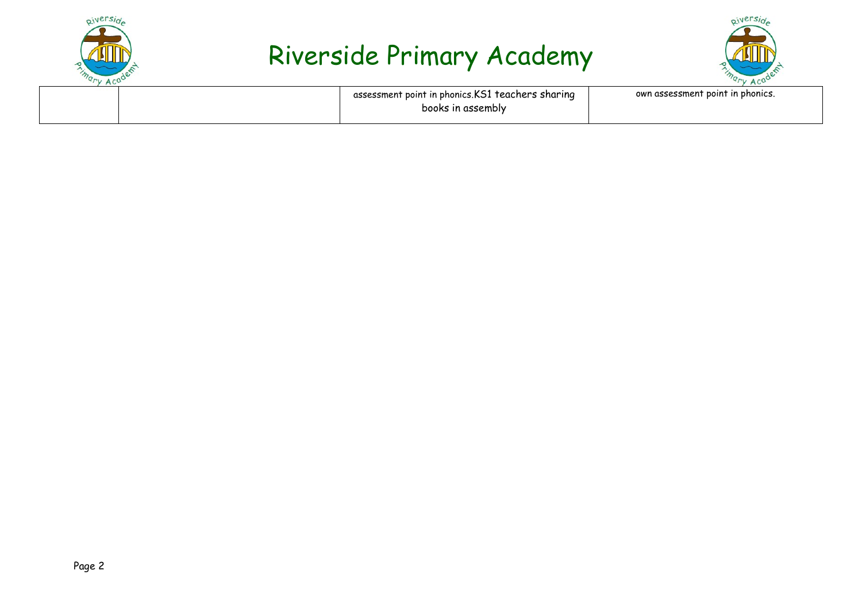



|  | assessment point in phonics. KS1 teachers sharing | own assessment point in phonics. |
|--|---------------------------------------------------|----------------------------------|
|  | books in assembly                                 |                                  |
|  |                                                   |                                  |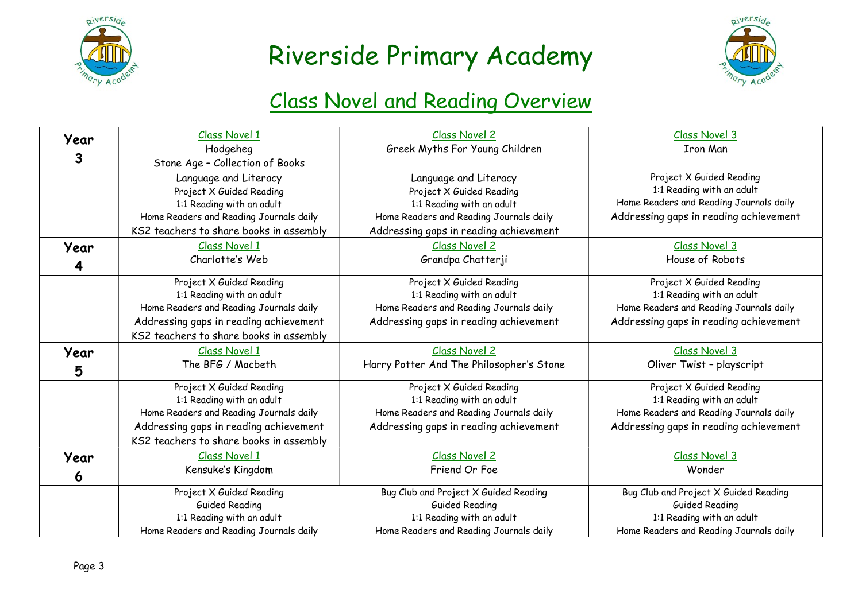



### Class Novel and Reading Overview

| Year | <b>Class Novel 1</b>                    | <b>Class Novel 2</b>                     | Class Novel 3                           |  |
|------|-----------------------------------------|------------------------------------------|-----------------------------------------|--|
|      | Hodgeheg                                | Greek Myths For Young Children           | <b>Iron Man</b>                         |  |
| 3    | Stone Age - Collection of Books         |                                          |                                         |  |
|      | Language and Literacy                   | Language and Literacy                    | Project X Guided Reading                |  |
|      | Project X Guided Reading                | Project X Guided Reading                 | 1:1 Reading with an adult               |  |
|      | 1:1 Reading with an adult               | 1:1 Reading with an adult                | Home Readers and Reading Journals daily |  |
|      | Home Readers and Reading Journals daily | Home Readers and Reading Journals daily  | Addressing gaps in reading achievement  |  |
|      | KS2 teachers to share books in assembly | Addressing gaps in reading achievement   |                                         |  |
| Year | <b>Class Novel 1</b>                    | <b>Class Novel 2</b>                     | Class Novel 3                           |  |
| 4    | Charlotte's Web                         | Grandpa Chatterji                        | House of Robots                         |  |
|      | Project X Guided Reading                | Project X Guided Reading                 | Project X Guided Reading                |  |
|      | 1:1 Reading with an adult               | 1:1 Reading with an adult                | 1:1 Reading with an adult               |  |
|      | Home Readers and Reading Journals daily | Home Readers and Reading Journals daily  | Home Readers and Reading Journals daily |  |
|      | Addressing gaps in reading achievement  | Addressing gaps in reading achievement   | Addressing gaps in reading achievement  |  |
|      | KS2 teachers to share books in assembly |                                          |                                         |  |
| Year | <b>Class Novel 1</b>                    | <b>Class Novel 2</b>                     | Class Novel 3                           |  |
| 5    | The BFG / Macbeth                       | Harry Potter And The Philosopher's Stone | Oliver Twist - playscript               |  |
|      | Project X Guided Reading                | Project X Guided Reading                 | Project X Guided Reading                |  |
|      | 1:1 Reading with an adult               | 1:1 Reading with an adult                | 1:1 Reading with an adult               |  |
|      | Home Readers and Reading Journals daily | Home Readers and Reading Journals daily  | Home Readers and Reading Journals daily |  |
|      | Addressing gaps in reading achievement  | Addressing gaps in reading achievement   | Addressing gaps in reading achievement  |  |
|      | KS2 teachers to share books in assembly |                                          |                                         |  |
| Year | <b>Class Novel 1</b>                    | <b>Class Novel 2</b>                     | Class Novel 3                           |  |
| 6    | Kensuke's Kingdom                       | Friend Or Foe                            | Wonder                                  |  |
|      | Project X Guided Reading                | Bug Club and Project X Guided Reading    | Bug Club and Project X Guided Reading   |  |
|      | <b>Guided Reading</b>                   | Guided Reading                           | Guided Reading                          |  |
|      | 1:1 Reading with an adult               | 1:1 Reading with an adult                | 1:1 Reading with an adult               |  |
|      | Home Readers and Reading Journals daily | Home Readers and Reading Journals daily  | Home Readers and Reading Journals daily |  |